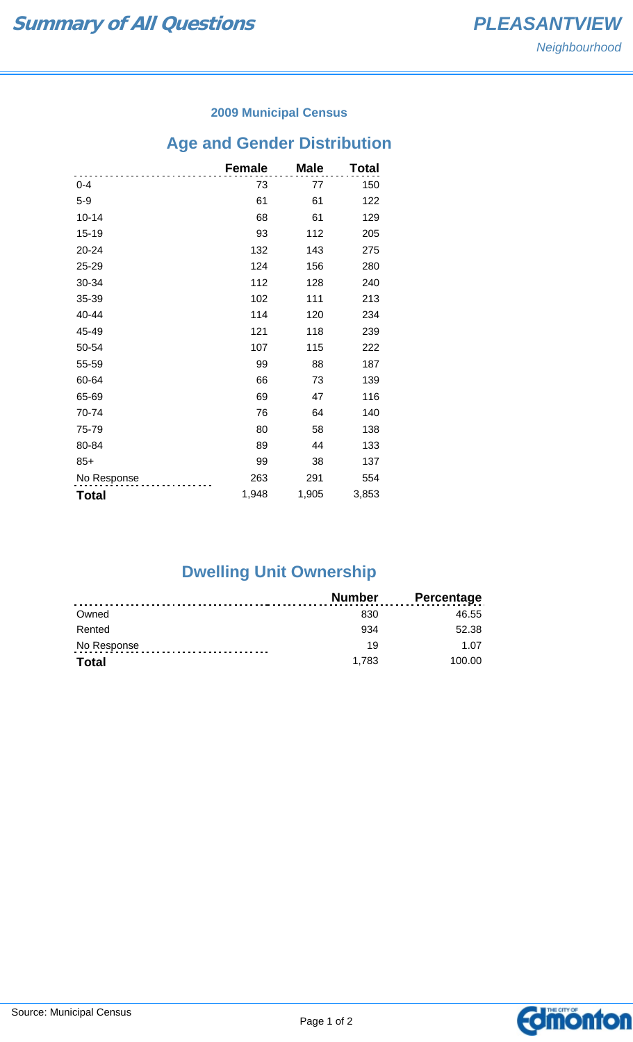### **2009 Municipal Census**

## **Age and Gender Distribution**

|              | <b>Female</b> | <b>Male</b> | Total |
|--------------|---------------|-------------|-------|
| $0 - 4$      | 73            | 77          | 150   |
| $5-9$        | 61            | 61          | 122   |
| $10 - 14$    | 68            | 61          | 129   |
| 15-19        | 93            | 112         | 205   |
| 20-24        | 132           | 143         | 275   |
| 25-29        | 124           | 156         | 280   |
| 30-34        | 112           | 128         | 240   |
| 35-39        | 102           | 111         | 213   |
| 40-44        | 114           | 120         | 234   |
| 45-49        | 121           | 118         | 239   |
| 50-54        | 107           | 115         | 222   |
| 55-59        | 99            | 88          | 187   |
| 60-64        | 66            | 73          | 139   |
| 65-69        | 69            | 47          | 116   |
| 70-74        | 76            | 64          | 140   |
| 75-79        | 80            | 58          | 138   |
| 80-84        | 89            | 44          | 133   |
| $85+$        | 99            | 38          | 137   |
| No Response  | 263           | 291         | 554   |
| <b>Total</b> | 1,948         | 1,905       | 3,853 |

# **Dwelling Unit Ownership**

|              | <b>Number</b> | <b>Percentage</b> |
|--------------|---------------|-------------------|
| Owned        | 830           | 46.55             |
| Rented       | 934           | 52.38             |
| No Response  | 19            | 1.07              |
| <b>Total</b> | 1.783         | 100.00            |